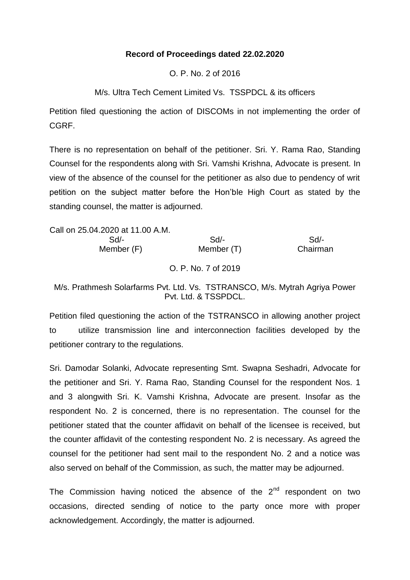## **Record of Proceedings dated 22.02.2020**

O. P. No. 2 of 2016

M/s. Ultra Tech Cement Limited Vs. TSSPDCL & its officers

Petition filed questioning the action of DISCOMs in not implementing the order of CGRF.

There is no representation on behalf of the petitioner. Sri. Y. Rama Rao, Standing Counsel for the respondents along with Sri. Vamshi Krishna, Advocate is present. In view of the absence of the counsel for the petitioner as also due to pendency of writ petition on the subject matter before the Hon'ble High Court as stated by the standing counsel, the matter is adjourned.

Call on 25.04.2020 at 11.00 A.M. Sd/- Sd/- Sd/- Member (F) Member (T) Chairman O. P. No. 7 of 2019

M/s. Prathmesh Solarfarms Pvt. Ltd. Vs. TSTRANSCO, M/s. Mytrah Agriya Power Pvt. Ltd. & TSSPDCL.

Petition filed questioning the action of the TSTRANSCO in allowing another project to utilize transmission line and interconnection facilities developed by the petitioner contrary to the regulations.

Sri. Damodar Solanki, Advocate representing Smt. Swapna Seshadri, Advocate for the petitioner and Sri. Y. Rama Rao, Standing Counsel for the respondent Nos. 1 and 3 alongwith Sri. K. Vamshi Krishna, Advocate are present. Insofar as the respondent No. 2 is concerned, there is no representation. The counsel for the petitioner stated that the counter affidavit on behalf of the licensee is received, but the counter affidavit of the contesting respondent No. 2 is necessary. As agreed the counsel for the petitioner had sent mail to the respondent No. 2 and a notice was also served on behalf of the Commission, as such, the matter may be adjourned.

The Commission having noticed the absence of the  $2<sup>nd</sup>$  respondent on two occasions, directed sending of notice to the party once more with proper acknowledgement. Accordingly, the matter is adjourned.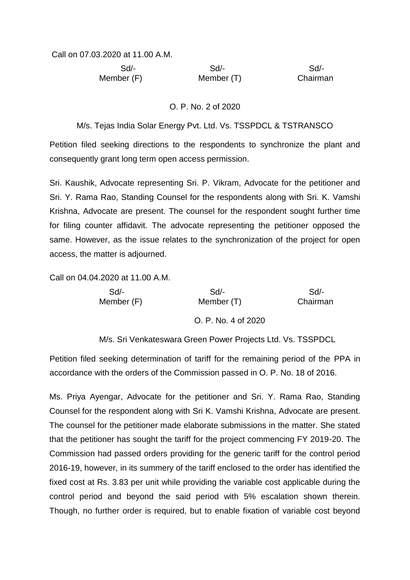Call on 07.03.2020 at 11.00 A.M.

 Sd/- Sd/- Sd/- Member (F) Member (T) Chairman

## O. P. No. 2 of 2020

M/s. Tejas India Solar Energy Pvt. Ltd. Vs. TSSPDCL & TSTRANSCO

Petition filed seeking directions to the respondents to synchronize the plant and consequently grant long term open access permission.

Sri. Kaushik, Advocate representing Sri. P. Vikram, Advocate for the petitioner and Sri. Y. Rama Rao, Standing Counsel for the respondents along with Sri. K. Vamshi Krishna, Advocate are present. The counsel for the respondent sought further time for filing counter affidavit. The advocate representing the petitioner opposed the same. However, as the issue relates to the synchronization of the project for open access, the matter is adjourned.

Call on 04.04.2020 at 11.00 A.M.

| Sd/-       | Sd                  | Sd       |
|------------|---------------------|----------|
| Member (F) | Member (T)          | Chairman |
|            | O. P. No. 4 of 2020 |          |
|            |                     |          |

M/s. Sri Venkateswara Green Power Projects Ltd. Vs. TSSPDCL

Petition filed seeking determination of tariff for the remaining period of the PPA in accordance with the orders of the Commission passed in O. P. No. 18 of 2016.

Ms. Priya Ayengar, Advocate for the petitioner and Sri. Y. Rama Rao, Standing Counsel for the respondent along with Sri K. Vamshi Krishna, Advocate are present. The counsel for the petitioner made elaborate submissions in the matter. She stated that the petitioner has sought the tariff for the project commencing FY 2019-20. The Commission had passed orders providing for the generic tariff for the control period 2016-19, however, in its summery of the tariff enclosed to the order has identified the fixed cost at Rs. 3.83 per unit while providing the variable cost applicable during the control period and beyond the said period with 5% escalation shown therein. Though, no further order is required, but to enable fixation of variable cost beyond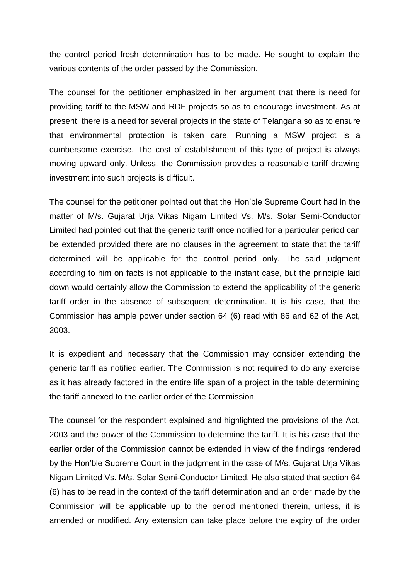the control period fresh determination has to be made. He sought to explain the various contents of the order passed by the Commission.

The counsel for the petitioner emphasized in her argument that there is need for providing tariff to the MSW and RDF projects so as to encourage investment. As at present, there is a need for several projects in the state of Telangana so as to ensure that environmental protection is taken care. Running a MSW project is a cumbersome exercise. The cost of establishment of this type of project is always moving upward only. Unless, the Commission provides a reasonable tariff drawing investment into such projects is difficult.

The counsel for the petitioner pointed out that the Hon'ble Supreme Court had in the matter of M/s. Gujarat Urja Vikas Nigam Limited Vs. M/s. Solar Semi-Conductor Limited had pointed out that the generic tariff once notified for a particular period can be extended provided there are no clauses in the agreement to state that the tariff determined will be applicable for the control period only. The said judgment according to him on facts is not applicable to the instant case, but the principle laid down would certainly allow the Commission to extend the applicability of the generic tariff order in the absence of subsequent determination. It is his case, that the Commission has ample power under section 64 (6) read with 86 and 62 of the Act, 2003.

It is expedient and necessary that the Commission may consider extending the generic tariff as notified earlier. The Commission is not required to do any exercise as it has already factored in the entire life span of a project in the table determining the tariff annexed to the earlier order of the Commission.

The counsel for the respondent explained and highlighted the provisions of the Act, 2003 and the power of the Commission to determine the tariff. It is his case that the earlier order of the Commission cannot be extended in view of the findings rendered by the Hon'ble Supreme Court in the judgment in the case of M/s. Gujarat Urja Vikas Nigam Limited Vs. M/s. Solar Semi-Conductor Limited. He also stated that section 64 (6) has to be read in the context of the tariff determination and an order made by the Commission will be applicable up to the period mentioned therein, unless, it is amended or modified. Any extension can take place before the expiry of the order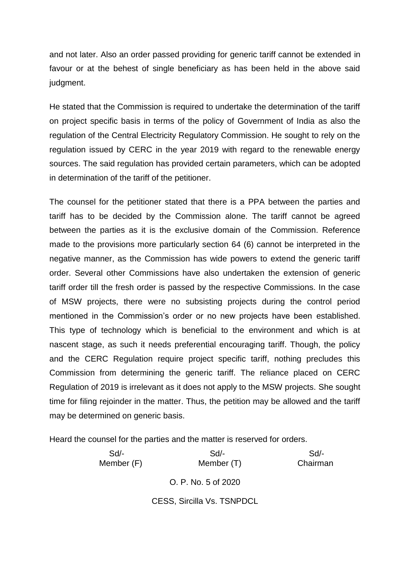and not later. Also an order passed providing for generic tariff cannot be extended in favour or at the behest of single beneficiary as has been held in the above said judgment.

He stated that the Commission is required to undertake the determination of the tariff on project specific basis in terms of the policy of Government of India as also the regulation of the Central Electricity Regulatory Commission. He sought to rely on the regulation issued by CERC in the year 2019 with regard to the renewable energy sources. The said regulation has provided certain parameters, which can be adopted in determination of the tariff of the petitioner.

The counsel for the petitioner stated that there is a PPA between the parties and tariff has to be decided by the Commission alone. The tariff cannot be agreed between the parties as it is the exclusive domain of the Commission. Reference made to the provisions more particularly section 64 (6) cannot be interpreted in the negative manner, as the Commission has wide powers to extend the generic tariff order. Several other Commissions have also undertaken the extension of generic tariff order till the fresh order is passed by the respective Commissions. In the case of MSW projects, there were no subsisting projects during the control period mentioned in the Commission's order or no new projects have been established. This type of technology which is beneficial to the environment and which is at nascent stage, as such it needs preferential encouraging tariff. Though, the policy and the CERC Regulation require project specific tariff, nothing precludes this Commission from determining the generic tariff. The reliance placed on CERC Regulation of 2019 is irrelevant as it does not apply to the MSW projects. She sought time for filing rejoinder in the matter. Thus, the petition may be allowed and the tariff may be determined on generic basis.

Heard the counsel for the parties and the matter is reserved for orders.

 Sd/- Sd/- Sd/- Member (F) Member (T) Chairman O. P. No. 5 of 2020

CESS, Sircilla Vs. TSNPDCL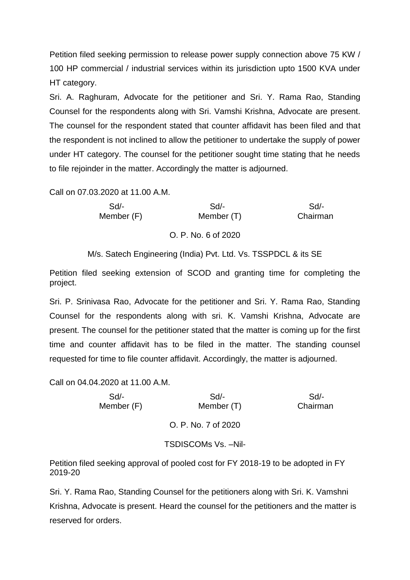Petition filed seeking permission to release power supply connection above 75 KW / 100 HP commercial / industrial services within its jurisdiction upto 1500 KVA under HT category.

Sri. A. Raghuram, Advocate for the petitioner and Sri. Y. Rama Rao, Standing Counsel for the respondents along with Sri. Vamshi Krishna, Advocate are present. The counsel for the respondent stated that counter affidavit has been filed and that the respondent is not inclined to allow the petitioner to undertake the supply of power under HT category. The counsel for the petitioner sought time stating that he needs to file rejoinder in the matter. Accordingly the matter is adjourned.

Call on 07.03.2020 at 11.00 A.M.

| $Sd$ -   | $Sd$ -              | $Sd/-$     |  |
|----------|---------------------|------------|--|
| Chairman | Member (T)          | Member (F) |  |
|          | O. P. No. 6 of 2020 |            |  |

M/s. Satech Engineering (India) Pvt. Ltd. Vs. TSSPDCL & its SE

Petition filed seeking extension of SCOD and granting time for completing the project.

Sri. P. Srinivasa Rao, Advocate for the petitioner and Sri. Y. Rama Rao, Standing Counsel for the respondents along with sri. K. Vamshi Krishna, Advocate are present. The counsel for the petitioner stated that the matter is coming up for the first time and counter affidavit has to be filed in the matter. The standing counsel requested for time to file counter affidavit. Accordingly, the matter is adjourned.

Call on 04.04.2020 at 11.00 A.M.

| Sd<br>Member (F) | Sd<br>Member (T)     | Sd/-<br>Chairman |
|------------------|----------------------|------------------|
|                  | O. P. No. 7 of 2020  |                  |
|                  | TSDISCOMs Vs. - Nil- |                  |

Petition filed seeking approval of pooled cost for FY 2018-19 to be adopted in FY 2019-20

Sri. Y. Rama Rao, Standing Counsel for the petitioners along with Sri. K. Vamshni Krishna, Advocate is present. Heard the counsel for the petitioners and the matter is reserved for orders.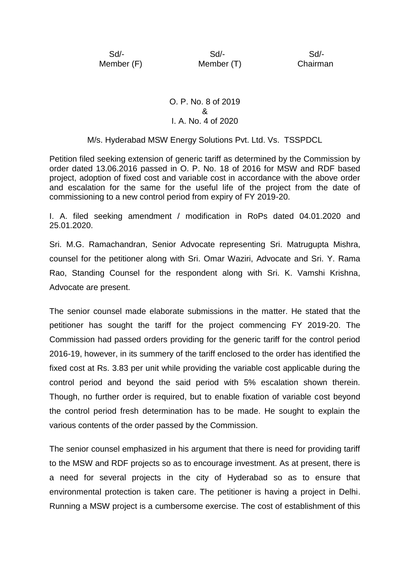Sd/- Sd/- Sd/- Member (F) Member (T) Chairman

## O. P. No. 8 of 2019 & I. A. No. 4 of 2020

## M/s. Hyderabad MSW Energy Solutions Pvt. Ltd. Vs. TSSPDCL

Petition filed seeking extension of generic tariff as determined by the Commission by order dated 13.06.2016 passed in O. P. No. 18 of 2016 for MSW and RDF based project, adoption of fixed cost and variable cost in accordance with the above order and escalation for the same for the useful life of the project from the date of commissioning to a new control period from expiry of FY 2019-20.

I. A. filed seeking amendment / modification in RoPs dated 04.01.2020 and 25.01.2020.

Sri. M.G. Ramachandran, Senior Advocate representing Sri. Matrugupta Mishra, counsel for the petitioner along with Sri. Omar Waziri, Advocate and Sri. Y. Rama Rao, Standing Counsel for the respondent along with Sri. K. Vamshi Krishna, Advocate are present.

The senior counsel made elaborate submissions in the matter. He stated that the petitioner has sought the tariff for the project commencing FY 2019-20. The Commission had passed orders providing for the generic tariff for the control period 2016-19, however, in its summery of the tariff enclosed to the order has identified the fixed cost at Rs. 3.83 per unit while providing the variable cost applicable during the control period and beyond the said period with 5% escalation shown therein. Though, no further order is required, but to enable fixation of variable cost beyond the control period fresh determination has to be made. He sought to explain the various contents of the order passed by the Commission.

The senior counsel emphasized in his argument that there is need for providing tariff to the MSW and RDF projects so as to encourage investment. As at present, there is a need for several projects in the city of Hyderabad so as to ensure that environmental protection is taken care. The petitioner is having a project in Delhi. Running a MSW project is a cumbersome exercise. The cost of establishment of this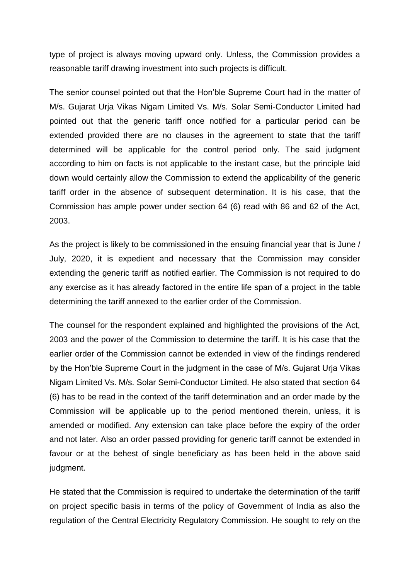type of project is always moving upward only. Unless, the Commission provides a reasonable tariff drawing investment into such projects is difficult.

The senior counsel pointed out that the Hon'ble Supreme Court had in the matter of M/s. Gujarat Urja Vikas Nigam Limited Vs. M/s. Solar Semi-Conductor Limited had pointed out that the generic tariff once notified for a particular period can be extended provided there are no clauses in the agreement to state that the tariff determined will be applicable for the control period only. The said judgment according to him on facts is not applicable to the instant case, but the principle laid down would certainly allow the Commission to extend the applicability of the generic tariff order in the absence of subsequent determination. It is his case, that the Commission has ample power under section 64 (6) read with 86 and 62 of the Act, 2003.

As the project is likely to be commissioned in the ensuing financial year that is June / July, 2020, it is expedient and necessary that the Commission may consider extending the generic tariff as notified earlier. The Commission is not required to do any exercise as it has already factored in the entire life span of a project in the table determining the tariff annexed to the earlier order of the Commission.

The counsel for the respondent explained and highlighted the provisions of the Act, 2003 and the power of the Commission to determine the tariff. It is his case that the earlier order of the Commission cannot be extended in view of the findings rendered by the Hon'ble Supreme Court in the judgment in the case of M/s. Gujarat Urja Vikas Nigam Limited Vs. M/s. Solar Semi-Conductor Limited. He also stated that section 64 (6) has to be read in the context of the tariff determination and an order made by the Commission will be applicable up to the period mentioned therein, unless, it is amended or modified. Any extension can take place before the expiry of the order and not later. Also an order passed providing for generic tariff cannot be extended in favour or at the behest of single beneficiary as has been held in the above said judgment.

He stated that the Commission is required to undertake the determination of the tariff on project specific basis in terms of the policy of Government of India as also the regulation of the Central Electricity Regulatory Commission. He sought to rely on the